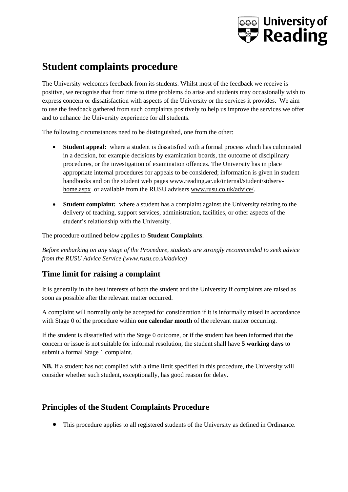# **<b>Saal University of**<br>**S**ee Reading

## **Student complaints procedure**

The University welcomes feedback from its students. Whilst most of the feedback we receive is positive, we recognise that from time to time problems do arise and students may occasionally wish to express concern or dissatisfaction with aspects of the University or the services it provides. We aim to use the feedback gathered from such complaints positively to help us improve the services we offer and to enhance the University experience for all students.

The following circumstances need to be distinguished, one from the other:

- **Student appeal:** where a student is dissatisfied with a formal process which has culminated in a decision, for example decisions by examination boards, the outcome of disciplinary procedures, or the investigation of examination offences. The University has in place appropriate internal procedures for appeals to be considered; information is given in student handbooks and on the student web pages [www.reading.ac.uk/internal/student/stdserv](http://www.reading.ac.uk/internal/student/stdserv-home.aspx)[home.aspx](http://www.reading.ac.uk/internal/student/stdserv-home.aspx) or available from the RUSU advisers [www.rusu.co.uk/advice/.](http://www.rusu.co.uk/advice/)
- **Student complaint:** where a student has a complaint against the University relating to the delivery of teaching, support services, administration, facilities, or other aspects of the student's relationship with the University.

The procedure outlined below applies to **Student Complaints**.

*Before embarking on any stage of the Procedure, students are strongly recommended to seek advice from the RUSU Advice Service (www.rusu.co.uk/advice)*

## **Time limit for raising a complaint**

It is generally in the best interests of both the student and the University if complaints are raised as soon as possible after the relevant matter occurred.

A complaint will normally only be accepted for consideration if it is informally raised in accordance with Stage 0 of the procedure within **one calendar month** of the relevant matter occurring.

If the student is dissatisfied with the Stage 0 outcome, or if the student has been informed that the concern or issue is not suitable for informal resolution, the student shall have **5 working days** to submit a formal Stage 1 complaint.

**NB.** If a student has not complied with a time limit specified in this procedure, the University will consider whether such student, exceptionally, has good reason for delay.

## **Principles of the Student Complaints Procedure**

This procedure applies to all registered students of the University as defined in Ordinance.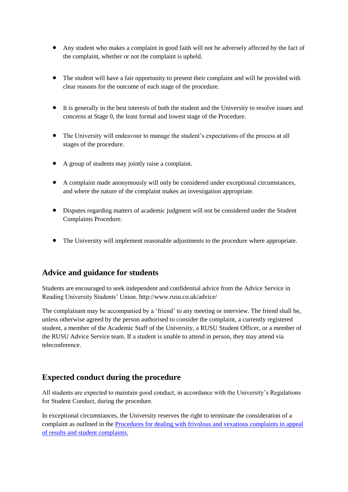- Any student who makes a complaint in good faith will not be adversely affected by the fact of the complaint, whether or not the complaint is upheld.
- The student will have a fair opportunity to present their complaint and will be provided with clear reasons for the outcome of each stage of the procedure.
- It is generally in the best interests of both the student and the University to resolve issues and concerns at Stage 0, the least formal and lowest stage of the Procedure.
- The University will endeavour to manage the student's expectations of the process at all stages of the procedure.
- A group of students may jointly raise a complaint.
- A complaint made anonymously will only be considered under exceptional circumstances, and where the nature of the complaint makes an investigation appropriate.
- Disputes regarding matters of academic judgment will not be considered under the Student Complaints Procedure.
- The University will implement reasonable adjustments to the procedure where appropriate.

### **Advice and guidance for students**

Students are encouraged to seek independent and confidential advice from the Advice Service in Reading University Students' Union. http://www.rusu.co.uk/advice/

The complainant may be accompanied by a 'friend' to any meeting or interview. The friend shall be, unless otherwise agreed by the person authorised to consider the complaint, a currently registered student, a member of the Academic Staff of the University, a RUSU Student Officer, or a member of the RUSU Advice Service team. If a student is unable to attend in person, they may attend via teleconference.

### **Expected conduct during the procedure**

All students are expected to maintain good conduct, in accordance with the University's Regulations for Student Conduct, during the procedure.

In exceptional circumstances, the University reserves the right to terminate the consideration of a complaint as outlined in the [Procedures for dealing with frivolous and vexatious complaints in appeal](http://www.reading.ac.uk/web/FILES/cqsd/Final_-_Unacceptable_behaviour_when_dealing_with_student_complaints_and_appeals_of_results.pdf)  [of results and student complaints.](http://www.reading.ac.uk/web/FILES/cqsd/Final_-_Unacceptable_behaviour_when_dealing_with_student_complaints_and_appeals_of_results.pdf)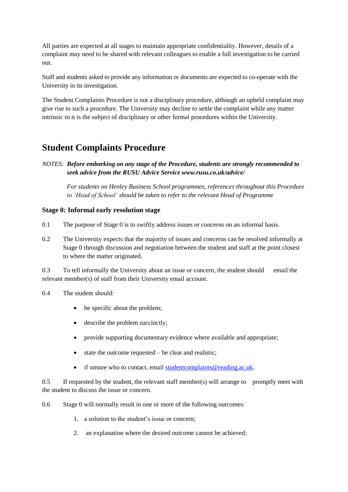All parties are expected at all stages to maintain appropriate confidentiality. However, details of a complaint may need to be shared with relevant colleagues to enable a full investigation to be carried out.

Staff and students asked to provide any information or documents are expected to co-operate with the University in its investigation.

The Student Complaints Procedure is not a disciplinary procedure, although an upheld complaint may give rise to such a procedure. The University may decline to settle the complaint while any matter intrinsic to it is the subject of disciplinary or other formal procedures within the University.

## **Student Complaints Procedure**

*NOTES: Before embarking on any stage of the Procedure, students are strongly recommended to seek advice from the RUSU Advice Service www.rusu.co.uk/advice/*

*For students on Henley Business School programmes, references throughout this Procedure to 'Head of School' should be taken to refer to the relevant Head of Programme*

#### **Stage 0: Informal early resolution stage**

- 0.1 The purpose of Stage 0 is to swiftly address issues or concerns on an informal basis.
- 0.2 The University expects that the majority of issues and concerns can be resolved informally at Stage 0 through discussion and negotiation between the student and staff at the point closest to where the matter originated.

0.3 To tell informally the University about an issue or concern, the student should email the relevant member(s) of staff from their University email account.

- 0.4 The student should:
	- be specific about the problem;
	- describe the problem succinctly;
	- provide supporting documentary evidence where available and appropriate;
	- state the outcome requested be clear and realistic;
	- if unsure who to contact, email student complaints @ reading.ac.uk.

0.5 If requested by the student, the relevant staff member(s) will arrange to promptly meet with the student to discuss the issue or concern.

0.6 Stage 0 will normally result in one or more of the following outcomes:

- 1. a solution to the student's issue or concern;
- 2. an explanation where the desired outcome cannot be achieved;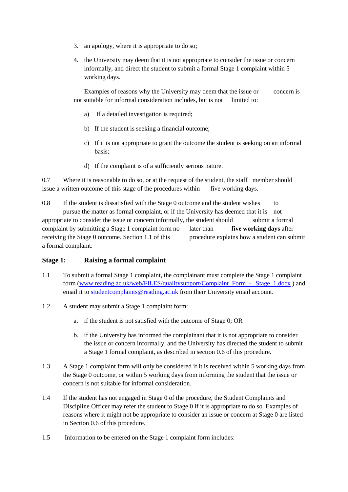- 3. an apology, where it is appropriate to do so;
- 4. the University may deem that it is not appropriate to consider the issue or concern informally, and direct the student to submit a formal Stage 1 complaint within 5 working days.

Examples of reasons why the University may deem that the issue or concern is not suitable for informal consideration includes, but is not limited to:

- a) If a detailed investigation is required;
- b) If the student is seeking a financial outcome;
- c) If it is not appropriate to grant the outcome the student is seeking on an informal basis;
- d) If the complaint is of a sufficiently serious nature.

0.7 Where it is reasonable to do so, or at the request of the student, the staff member should issue a written outcome of this stage of the procedures within five working days.

0.8 If the student is dissatisfied with the Stage 0 outcome and the student wishes to pursue the matter as formal complaint, or if the University has deemed that it is not appropriate to consider the issue or concern informally, the student should submit a formal complaint by submitting a Stage 1 complaint form no later than **five working days** after receiving the Stage 0 outcome. Section 1.1 of this procedure explains how a student can submit a formal complaint.

#### **Stage 1: Raising a formal complaint**

- 1.1 To submit a formal Stage 1 complaint, the complainant must complete the Stage 1 complaint form [\(www.reading.ac.uk/web/FILES/qualitysupport/Complaint\\_Form\\_-](http://www.reading.ac.uk/web/FILES/qualitysupport/Complaint_Form_-_Stage_1.docx) \_Stage\_1.docx ) and email it to student complaints @reading.ac.uk from their University email account.
- 1.2 A student may submit a Stage 1 complaint form:
	- a. if the student is not satisfied with the outcome of Stage 0; OR
	- b. if the University has informed the complainant that it is not appropriate to consider the issue or concern informally, and the University has directed the student to submit a Stage 1 formal complaint, as described in section 0.6 of this procedure.
- 1.3 A Stage 1 complaint form will only be considered if it is received within 5 working days from the Stage 0 outcome, or within 5 working days from informing the student that the issue or concern is not suitable for informal consideration.
- 1.4 If the student has not engaged in Stage 0 of the procedure, the Student Complaints and Discipline Officer may refer the student to Stage 0 if it is appropriate to do so. Examples of reasons where it might not be appropriate to consider an issue or concern at Stage 0 are listed in Section 0.6 of this procedure.
- 1.5 Information to be entered on the Stage 1 complaint form includes: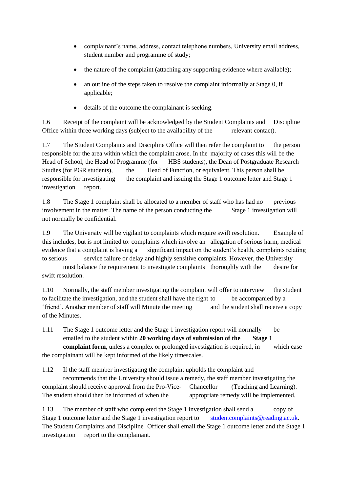- complainant's name, address, contact telephone numbers, University email address, student number and programme of study;
- the nature of the complaint (attaching any supporting evidence where available);
- an outline of the steps taken to resolve the complaint informally at Stage 0, if applicable;
- details of the outcome the complainant is seeking.

1.6 Receipt of the complaint will be acknowledged by the Student Complaints and Discipline Office within three working days (subject to the availability of the relevant contact).

1.7 The Student Complaints and Discipline Office will then refer the complaint to the person responsible for the area within which the complaint arose. In the majority of cases this will be the Head of School, the Head of Programme (for HBS students), the Dean of Postgraduate Research Studies (for PGR students), the Head of Function, or equivalent. This person shall be responsible for investigating the complaint and issuing the Stage 1 outcome letter and Stage 1 investigation report.

1.8 The Stage 1 complaint shall be allocated to a member of staff who has had no previous involvement in the matter. The name of the person conducting the Stage 1 investigation will not normally be confidential.

1.9 The University will be vigilant to complaints which require swift resolution. Example of this includes, but is not limited to: complaints which involve an allegation of serious harm, medical evidence that a complaint is having a significant impact on the student's health, complaints relating to serious service failure or delay and highly sensitive complaints. However, the University

must balance the requirement to investigate complaints thoroughly with the desire for swift resolution.

1.10 Normally, the staff member investigating the complaint will offer to interview the student to facilitate the investigation, and the student shall have the right to be accompanied by a 'friend'. Another member of staff will Minute the meeting and the student shall receive a copy of the Minutes.

1.11 The Stage 1 outcome letter and the Stage 1 investigation report will normally be emailed to the student within **20 working days of submission of the Stage 1 complaint form**, unless a complex or prolonged investigation is required, in which case the complainant will be kept informed of the likely timescales.

1.12 If the staff member investigating the complaint upholds the complaint and

recommends that the University should issue a remedy, the staff member investigating the complaint should receive approval from the Pro-Vice- Chancellor (Teaching and Learning). The student should then be informed of when the appropriate remedy will be implemented.

1.13 The member of staff who completed the Stage 1 investigation shall send a copy of Stage 1 outcome letter and the Stage 1 investigation report to student complaints@reading.ac.uk. The Student Complaints and Discipline Officer shall email the Stage 1 outcome letter and the Stage 1 investigation report to the complainant.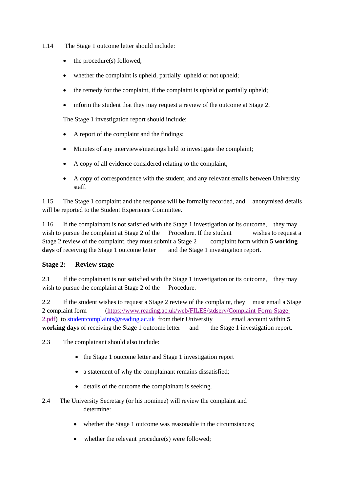- 1.14 The Stage 1 outcome letter should include:
	- the procedure(s) followed;
	- whether the complaint is upheld, partially upheld or not upheld;
	- the remedy for the complaint, if the complaint is upheld or partially upheld;
	- inform the student that they may request a review of the outcome at Stage 2.

The Stage 1 investigation report should include:

- A report of the complaint and the findings;
- Minutes of any interviews/meetings held to investigate the complaint;
- A copy of all evidence considered relating to the complaint;
- A copy of correspondence with the student, and any relevant emails between University staff.

1.15 The Stage 1 complaint and the response will be formally recorded, and anonymised details will be reported to the Student Experience Committee.

1.16 If the complainant is not satisfied with the Stage 1 investigation or its outcome, they may wish to pursue the complaint at Stage 2 of the Procedure. If the student wishes to request a Stage 2 review of the complaint, they must submit a Stage 2 complaint form within **5 working days** of receiving the Stage 1 outcome letter and the Stage 1 investigation report.

#### **Stage 2: Review stage**

2.1 If the complainant is not satisfied with the Stage 1 investigation or its outcome, they may wish to pursue the complaint at Stage 2 of the Procedure.

2.2 If the student wishes to request a Stage 2 review of the complaint, they must email a Stage 2 complaint form [\(https://www.reading.ac.uk/web/FILES/stdserv/Complaint-Form-Stage-](https://www.reading.ac.uk/web/FILES/stdserv/Complaint-Form-Stage-2.pdf)[2.pdf\)](https://www.reading.ac.uk/web/FILES/stdserv/Complaint-Form-Stage-2.pdf) to [studentcomplaints@reading.ac.uk](mailto:studentcomplaints@reading.ac.uk) from their University email account within **5 working days** of receiving the Stage 1 outcome letter and the Stage 1 investigation report.

2.3 The complainant should also include:

- the Stage 1 outcome letter and Stage 1 investigation report
- a statement of why the complainant remains dissatisfied;
- details of the outcome the complainant is seeking.
- 2.4 The University Secretary (or his nominee) will review the complaint and determine:
	- whether the Stage 1 outcome was reasonable in the circumstances;
	- whether the relevant procedure(s) were followed;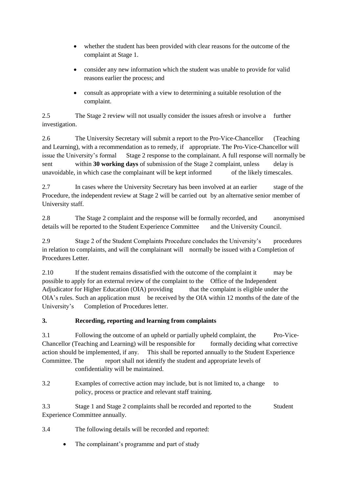- whether the student has been provided with clear reasons for the outcome of the complaint at Stage 1.
- consider any new information which the student was unable to provide for valid reasons earlier the process; and
- consult as appropriate with a view to determining a suitable resolution of the complaint.

2.5 The Stage 2 review will not usually consider the issues afresh or involve a further investigation.

2.6 The University Secretary will submit a report to the Pro-Vice-Chancellor (Teaching and Learning), with a recommendation as to remedy, if appropriate. The Pro-Vice-Chancellor will issue the University's formal Stage 2 response to the complainant. A full response will normally be sent within **30 working days** of submission of the Stage 2 complaint, unless delay is unavoidable, in which case the complainant will be kept informed of the likely timescales.

2.7 In cases where the University Secretary has been involved at an earlier stage of the Procedure, the independent review at Stage 2 will be carried out by an alternative senior member of University staff.

2.8 The Stage 2 complaint and the response will be formally recorded, and anonymised details will be reported to the Student Experience Committee and the University Council.

2.9 Stage 2 of the Student Complaints Procedure concludes the University's procedures in relation to complaints, and will the complainant will normally be issued with a Completion of Procedures Letter.

2.10 If the student remains dissatisfied with the outcome of the complaint it may be possible to apply for an external review of the complaint to the Office of the Independent Adjudicator for Higher Education (OIA) providing that the complaint is eligible under the OIA's rules. Such an application must be received by the OIA within 12 months of the date of the University's Completion of Procedures letter.

#### **3. Recording, reporting and learning from complaints**

3.1 Following the outcome of an upheld or partially upheld complaint, the Pro-Vice-Chancellor (Teaching and Learning) will be responsible for formally deciding what corrective action should be implemented, if any. This shall be reported annually to the Student Experience Committee. The report shall not identify the student and appropriate levels of confidentiality will be maintained.

3.2 Examples of corrective action may include, but is not limited to, a change to policy, process or practice and relevant staff training.

3.3 Stage 1 and Stage 2 complaints shall be recorded and reported to the Student Experience Committee annually.

3.4 The following details will be recorded and reported:

The complainant's programme and part of study